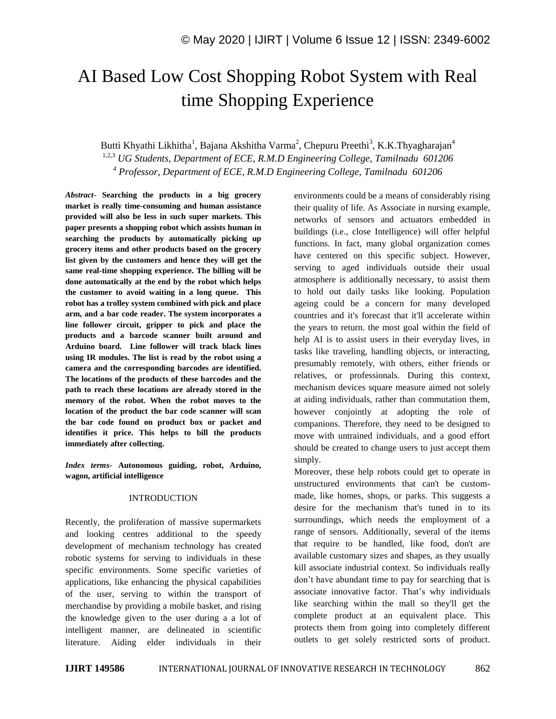# AI Based Low Cost Shopping Robot System with Real time Shopping Experience

Butti Khyathi Likhitha<sup>1</sup>, Bajana Akshitha Varma<sup>2</sup>, Chepuru Preethi<sup>3</sup>, K.K.Thyagharajan<sup>4</sup> 1,2,3 *UG Students, Department of ECE, R.M.D Engineering College, Tamilnadu 601206 <sup>4</sup> Professor, Department of ECE, R.M.D Engineering College, Tamilnadu 601206*

*Abstract*- **Searching the products in a big grocery market is really time-consuming and human assistance provided will also be less in such super markets. This paper presents a shopping robot which assists human in searching the products by automatically picking up grocery items and other products based on the grocery list given by the customers and hence they will get the same real-time shopping experience. The billing will be done automatically at the end by the robot which helps the customer to avoid waiting in a long queue. This robot has a trolley system combined with pick and place arm, and a bar code reader. The system incorporates a line follower circuit, gripper to pick and place the products and a barcode scanner built around and Arduino board. Line follower will track black lines using IR modules. The list is read by the robot using a camera and the corresponding barcodes are identified. The locations of the products of these barcodes and the path to reach these locations are already stored in the memory of the robot. When the robot moves to the location of the product the bar code scanner will scan the bar code found on product box or packet and identifies it price. This helps to bill the products immediately after collecting.**

*Index terms***- Autonomous guiding, robot, Arduino, wagon, artificial intelligence**

## INTRODUCTION

Recently, the proliferation of massive supermarkets and looking centres additional to the speedy development of mechanism technology has created robotic systems for serving to individuals in these specific environments. Some specific varieties of applications, like enhancing the physical capabilities of the user, serving to within the transport of merchandise by providing a mobile basket, and rising the knowledge given to the user during a a lot of intelligent manner, are delineated in scientific literature. Aiding elder individuals in their

environments could be a means of considerably rising their quality of life. As Associate in nursing example, networks of sensors and actuators embedded in buildings (i.e., close Intelligence) will offer helpful functions. In fact, many global organization comes have centered on this specific subject. However, serving to aged individuals outside their usual atmosphere is additionally necessary, to assist them to hold out daily tasks like looking. Population ageing could be a concern for many developed countries and it's forecast that it'll accelerate within the years to return. the most goal within the field of help AI is to assist users in their everyday lives, in tasks like traveling, handling objects, or interacting, presumably remotely, with others, either friends or relatives, or professionals. During this context, mechanism devices square measure aimed not solely at aiding individuals, rather than commutation them, however conjointly at adopting the role of companions. Therefore, they need to be designed to move with untrained individuals, and a good effort should be created to change users to just accept them simply.

Moreover, these help robots could get to operate in unstructured environments that can't be custommade, like homes, shops, or parks. This suggests a desire for the mechanism that's tuned in to its surroundings, which needs the employment of a range of sensors. Additionally, several of the items that require to be handled, like food, don't are available customary sizes and shapes, as they usually kill associate industrial context. So individuals really don't have abundant time to pay for searching that is associate innovative factor. That's why individuals like searching within the mall so they'll get the complete product at an equivalent place. This protects them from going into completely different outlets to get solely restricted sorts of product.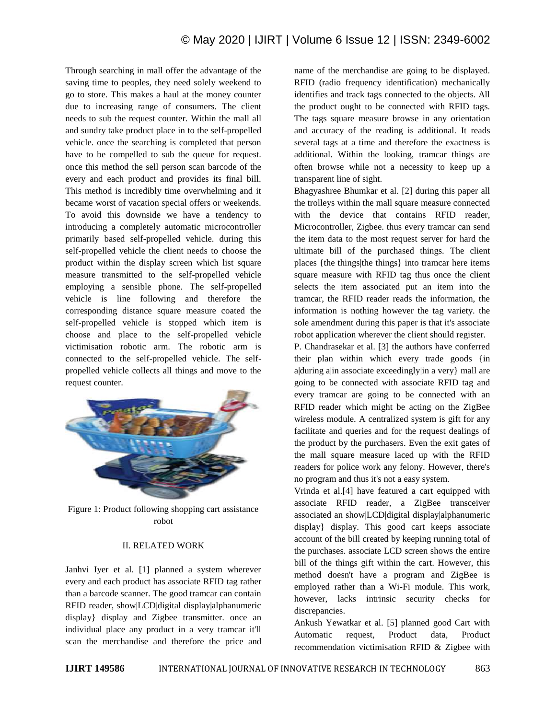Through searching in mall offer the advantage of the saving time to peoples, they need solely weekend to go to store. This makes a haul at the money counter due to increasing range of consumers. The client needs to sub the request counter. Within the mall all and sundry take product place in to the self-propelled vehicle. once the searching is completed that person have to be compelled to sub the queue for request. once this method the sell person scan barcode of the every and each product and provides its final bill. This method is incredibly time overwhelming and it became worst of vacation special offers or weekends. To avoid this downside we have a tendency to introducing a completely automatic microcontroller primarily based self-propelled vehicle. during this self-propelled vehicle the client needs to choose the product within the display screen which list square measure transmitted to the self-propelled vehicle employing a sensible phone. The self-propelled vehicle is line following and therefore the corresponding distance square measure coated the self-propelled vehicle is stopped which item is choose and place to the self-propelled vehicle victimisation robotic arm. The robotic arm is connected to the self-propelled vehicle. The selfpropelled vehicle collects all things and move to the request counter.



Figure 1: Product following shopping cart assistance robot

## II. RELATED WORK

Janhvi Iyer et al. [1] planned a system wherever every and each product has associate RFID tag rather than a barcode scanner. The good tramcar can contain RFID reader, show|LCD|digital display|alphanumeric display} display and Zigbee transmitter. once an individual place any product in a very tramcar it'll scan the merchandise and therefore the price and

name of the merchandise are going to be displayed. RFID (radio frequency identification) mechanically identifies and track tags connected to the objects. All the product ought to be connected with RFID tags. The tags square measure browse in any orientation and accuracy of the reading is additional. It reads several tags at a time and therefore the exactness is additional. Within the looking, tramcar things are often browse while not a necessity to keep up a transparent line of sight.

Bhagyashree Bhumkar et al. [2] during this paper all the trolleys within the mall square measure connected with the device that contains RFID reader, Microcontroller, Zigbee. thus every tramcar can send the item data to the most request server for hard the ultimate bill of the purchased things. The client places {the things|the things} into tramcar here items square measure with RFID tag thus once the client selects the item associated put an item into the tramcar, the RFID reader reads the information, the information is nothing however the tag variety. the sole amendment during this paper is that it's associate robot application wherever the client should register.

P. Chandrasekar et al. [3] the authors have conferred their plan within which every trade goods {in a during a in associate exceedingly in a very mall are going to be connected with associate RFID tag and every tramcar are going to be connected with an RFID reader which might be acting on the ZigBee wireless module. A centralized system is gift for any facilitate and queries and for the request dealings of the product by the purchasers. Even the exit gates of the mall square measure laced up with the RFID readers for police work any felony. However, there's no program and thus it's not a easy system.

Vrinda et al.[4] have featured a cart equipped with associate RFID reader, a ZigBee transceiver associated an show|LCD|digital display|alphanumeric display} display. This good cart keeps associate account of the bill created by keeping running total of the purchases. associate LCD screen shows the entire bill of the things gift within the cart. However, this method doesn't have a program and ZigBee is employed rather than a Wi-Fi module. This work, however, lacks intrinsic security checks for discrepancies.

Ankush Yewatkar et al. [5] planned good Cart with Automatic request, Product data, Product recommendation victimisation RFID & Zigbee with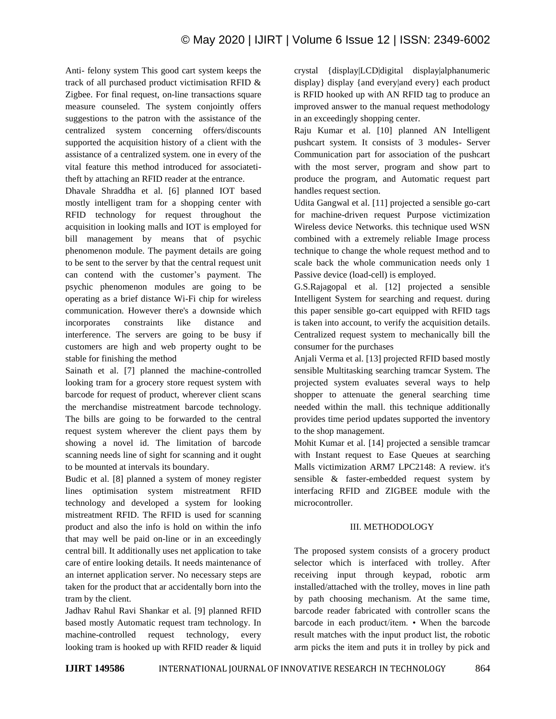Anti- felony system This good cart system keeps the track of all purchased product victimisation RFID & Zigbee. For final request, on-line transactions square measure counseled. The system conjointly offers suggestions to the patron with the assistance of the centralized system concerning offers/discounts supported the acquisition history of a client with the assistance of a centralized system. one in every of the vital feature this method introduced for associatetitheft by attaching an RFID reader at the entrance.

Dhavale Shraddha et al. [6] planned IOT based mostly intelligent tram for a shopping center with RFID technology for request throughout the acquisition in looking malls and IOT is employed for bill management by means that of psychic phenomenon module. The payment details are going to be sent to the server by that the central request unit can contend with the customer's payment. The psychic phenomenon modules are going to be operating as a brief distance Wi-Fi chip for wireless communication. However there's a downside which incorporates constraints like distance and interference. The servers are going to be busy if customers are high and web property ought to be stable for finishing the method

Sainath et al. [7] planned the machine-controlled looking tram for a grocery store request system with barcode for request of product, wherever client scans the merchandise mistreatment barcode technology. The bills are going to be forwarded to the central request system wherever the client pays them by showing a novel id. The limitation of barcode scanning needs line of sight for scanning and it ought to be mounted at intervals its boundary.

Budic et al. [8] planned a system of money register lines optimisation system mistreatment RFID technology and developed a system for looking mistreatment RFID. The RFID is used for scanning product and also the info is hold on within the info that may well be paid on-line or in an exceedingly central bill. It additionally uses net application to take care of entire looking details. It needs maintenance of an internet application server. No necessary steps are taken for the product that ar accidentally born into the tram by the client.

Jadhav Rahul Ravi Shankar et al. [9] planned RFID based mostly Automatic request tram technology. In machine-controlled request technology, every looking tram is hooked up with RFID reader & liquid crystal {display|LCD|digital display|alphanumeric display} display {and every|and every} each product is RFID hooked up with AN RFID tag to produce an improved answer to the manual request methodology in an exceedingly shopping center.

Raju Kumar et al. [10] planned AN Intelligent pushcart system. It consists of 3 modules- Server Communication part for association of the pushcart with the most server, program and show part to produce the program, and Automatic request part handles request section.

Udita Gangwal et al. [11] projected a sensible go-cart for machine-driven request Purpose victimization Wireless device Networks. this technique used WSN combined with a extremely reliable Image process technique to change the whole request method and to scale back the whole communication needs only 1 Passive device (load-cell) is employed.

G.S.Rajagopal et al. [12] projected a sensible Intelligent System for searching and request. during this paper sensible go-cart equipped with RFID tags is taken into account, to verify the acquisition details. Centralized request system to mechanically bill the consumer for the purchases

Anjali Verma et al. [13] projected RFID based mostly sensible Multitasking searching tramcar System. The projected system evaluates several ways to help shopper to attenuate the general searching time needed within the mall. this technique additionally provides time period updates supported the inventory to the shop management.

Mohit Kumar et al. [14] projected a sensible tramcar with Instant request to Ease Queues at searching Malls victimization ARM7 LPC2148: A review. it's sensible & faster-embedded request system by interfacing RFID and ZIGBEE module with the microcontroller.

# III. METHODOLOGY

The proposed system consists of a grocery product selector which is interfaced with trolley. After receiving input through keypad, robotic arm installed/attached with the trolley, moves in line path by path choosing mechanism. At the same time, barcode reader fabricated with controller scans the barcode in each product/item. • When the barcode result matches with the input product list, the robotic arm picks the item and puts it in trolley by pick and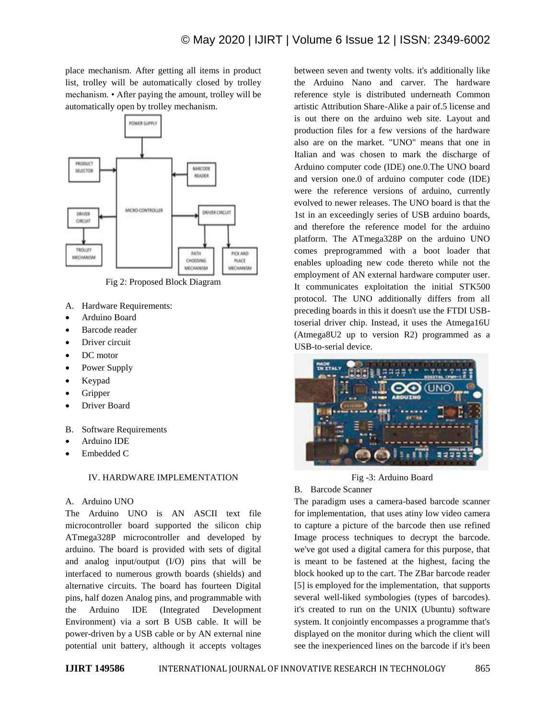place mechanism. After getting all items in product list, trolley will be automatically closed by trolley mechanism. • After paying the amount, trolley will be automatically open by trolley mechanism.



Fig 2: Proposed Block Diagram

- A. Hardware Requirements:
- Arduino Board
- Barcode reader
- Driver circuit
- DC motor
- Power Supply
- Keypad
- Gripper
- Driver Board
- B. Software Requirements
- Arduino IDE
- Embedded C

## IV. HARDWARE IMPLEMENTATION

## A. Arduino UNO

The Arduino UNO is AN ASCII text file microcontroller board supported the silicon chip ATmega328P microcontroller and developed by arduino. The board is provided with sets of digital and analog input/output (I/O) pins that will be interfaced to numerous growth boards (shields) and alternative circuits. The board has fourteen Digital pins, half dozen Analog pins, and programmable with the Arduino IDE (Integrated Development Environment) via a sort B USB cable. It will be power-driven by a USB cable or by AN external nine potential unit battery, although it accepts voltages

between seven and twenty volts. it's additionally like the Arduino Nano and carver. The hardware reference style is distributed underneath Common artistic Attribution Share-Alike a pair of.5 license and is out there on the arduino web site. Layout and production files for a few versions of the hardware also are on the market. "UNO" means that one in Italian and was chosen to mark the discharge of Arduino computer code (IDE) one.0.The UNO board and version one.0 of arduino computer code (IDE) were the reference versions of arduino, currently evolved to newer releases. The UNO board is that the 1st in an exceedingly series of USB arduino boards, and therefore the reference model for the arduino platform. The ATmega328P on the arduino UNO comes preprogrammed with a boot loader that enables uploading new code thereto while not the employment of AN external hardware computer user. It communicates exploitation the initial STK500 protocol. The UNO additionally differs from all preceding boards in this it doesn't use the FTDI USBtoserial driver chip. Instead, it uses the Atmega16U (Atmega8U2 up to version R2) programmed as a USB-to-serial device.



## Fig -3: Arduino Board

B. Barcode Scanner

The paradigm uses a camera-based barcode scanner for implementation, that uses atiny low video camera to capture a picture of the barcode then use refined Image process techniques to decrypt the barcode. we've got used a digital camera for this purpose, that is meant to be fastened at the highest, facing the block hooked up to the cart. The ZBar barcode reader [5] is employed for the implementation, that supports several well-liked symbologies (types of barcodes). it's created to run on the UNIX (Ubuntu) software system. It conjointly encompasses a programme that's displayed on the monitor during which the client will see the inexperienced lines on the barcode if it's been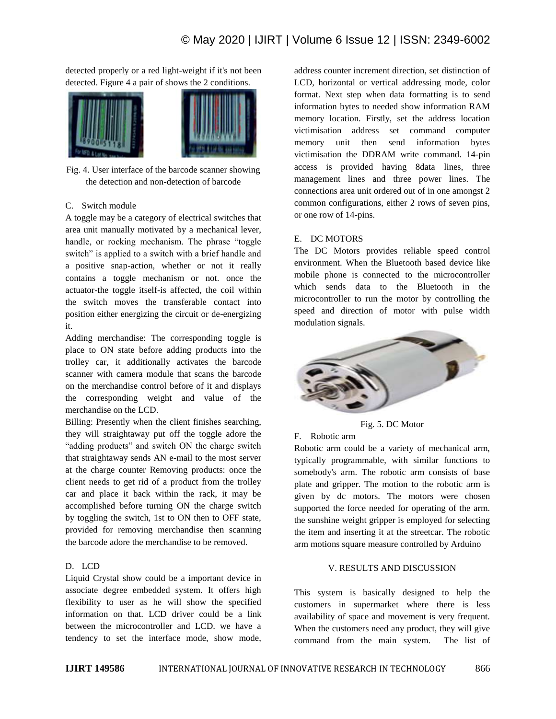detected properly or a red light-weight if it's not been detected. Figure 4 a pair of shows the 2 conditions.



Fig. 4. User interface of the barcode scanner showing the detection and non-detection of barcode

## C. Switch module

A toggle may be a category of electrical switches that area unit manually motivated by a mechanical lever, handle, or rocking mechanism. The phrase "toggle switch" is applied to a switch with a brief handle and a positive snap-action, whether or not it really contains a toggle mechanism or not. once the actuator-the toggle itself-is affected, the coil within the switch moves the transferable contact into position either energizing the circuit or de-energizing it.

Adding merchandise: The corresponding toggle is place to ON state before adding products into the trolley car, it additionally activates the barcode scanner with camera module that scans the barcode on the merchandise control before of it and displays the corresponding weight and value of the merchandise on the LCD.

Billing: Presently when the client finishes searching, they will straightaway put off the toggle adore the "adding products" and switch ON the charge switch that straightaway sends AN e-mail to the most server at the charge counter Removing products: once the client needs to get rid of a product from the trolley car and place it back within the rack, it may be accomplished before turning ON the charge switch by toggling the switch, 1st to ON then to OFF state, provided for removing merchandise then scanning the barcode adore the merchandise to be removed.

# D. LCD

Liquid Crystal show could be a important device in associate degree embedded system. It offers high flexibility to user as he will show the specified information on that. LCD driver could be a link between the microcontroller and LCD. we have a tendency to set the interface mode, show mode,

address counter increment direction, set distinction of LCD, horizontal or vertical addressing mode, color format. Next step when data formatting is to send information bytes to needed show information RAM memory location. Firstly, set the address location victimisation address set command computer memory unit then send information bytes victimisation the DDRAM write command. 14-pin access is provided having 8data lines, three management lines and three power lines. The connections area unit ordered out of in one amongst 2 common configurations, either 2 rows of seven pins, or one row of 14-pins.

## E. DC MOTORS

The DC Motors provides reliable speed control environment. When the Bluetooth based device like mobile phone is connected to the microcontroller which sends data to the Bluetooth in the microcontroller to run the motor by controlling the speed and direction of motor with pulse width modulation signals.



Fig. 5. DC Motor

## F. Robotic arm

Robotic arm could be a variety of mechanical arm, typically programmable, with similar functions to somebody's arm. The robotic arm consists of base plate and gripper. The motion to the robotic arm is given by dc motors. The motors were chosen supported the force needed for operating of the arm. the sunshine weight gripper is employed for selecting the item and inserting it at the streetcar. The robotic arm motions square measure controlled by Arduino

## V. RESULTS AND DISCUSSION

This system is basically designed to help the customers in supermarket where there is less availability of space and movement is very frequent. When the customers need any product, they will give command from the main system. The list of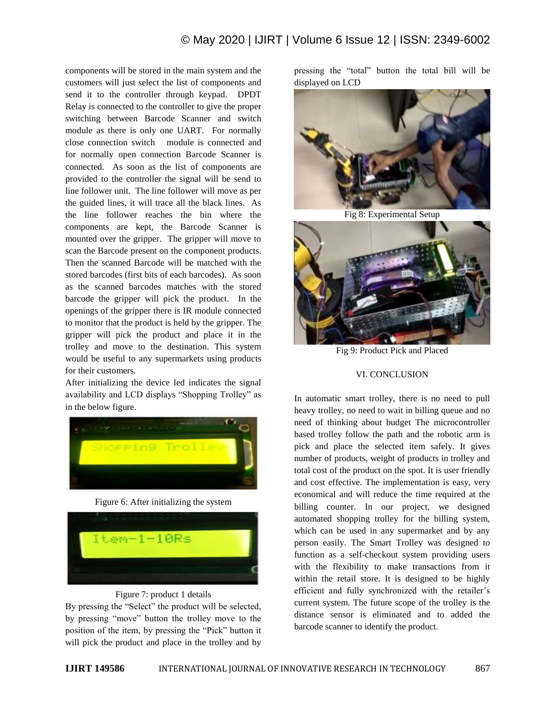components will be stored in the main system and the customers will just select the list of components and send it to the controller through keypad. DPDT Relay is connected to the controller to give the proper switching between Barcode Scanner and switch module as there is only one UART. For normally close connection switch module is connected and for normally open connection Barcode Scanner is connected. As soon as the list of components are provided to the controller the signal will be send to line follower unit. The line follower will move as per the guided lines, it will trace all the black lines. As the line follower reaches the bin where the components are kept, the Barcode Scanner is mounted over the gripper. The gripper will move to scan the Barcode present on the component products. Then the scanned Barcode will be matched with the stored barcodes (first bits of each barcodes). As soon as the scanned barcodes matches with the stored barcode the gripper will pick the product. In the openings of the gripper there is IR module connected to monitor that the product is held by the gripper. The gripper will pick the product and place it in the trolley and move to the destination. This system would be useful to any supermarkets using products for their customers.

After initializing the device led indicates the signal availability and LCD displays "Shopping Trolley" as in the below figure.



Figure 6: After initializing the system



## Figure 7: product 1 details

By pressing the "Select" the product will be selected, by pressing "move" button the trolley move to the position of the item, by pressing the "Pick" button it will pick the product and place in the trolley and by

pressing the "total" button the total bill will be displayed on LCD



Fig 8: Experimental Setup



Fig 9: Product Pick and Placed

## VI. CONCLUSION

In automatic smart trolley, there is no need to pull heavy trolley, no need to wait in billing queue and no need of thinking about budget The microcontroller based trolley follow the path and the robotic arm is pick and place the selected item safely. It gives number of products, weight of products in trolley and total cost of the product on the spot. It is user friendly and cost effective. The implementation is easy, very economical and will reduce the time required at the billing counter. In our project, we designed automated shopping trolley for the billing system, which can be used in any supermarket and by any person easily. The Smart Trolley was designed to function as a self-checkout system providing users with the flexibility to make transactions from it within the retail store. It is designed to be highly efficient and fully synchronized with the retailer's current system. The future scope of the trolley is the distance sensor is eliminated and to added the barcode scanner to identify the product.